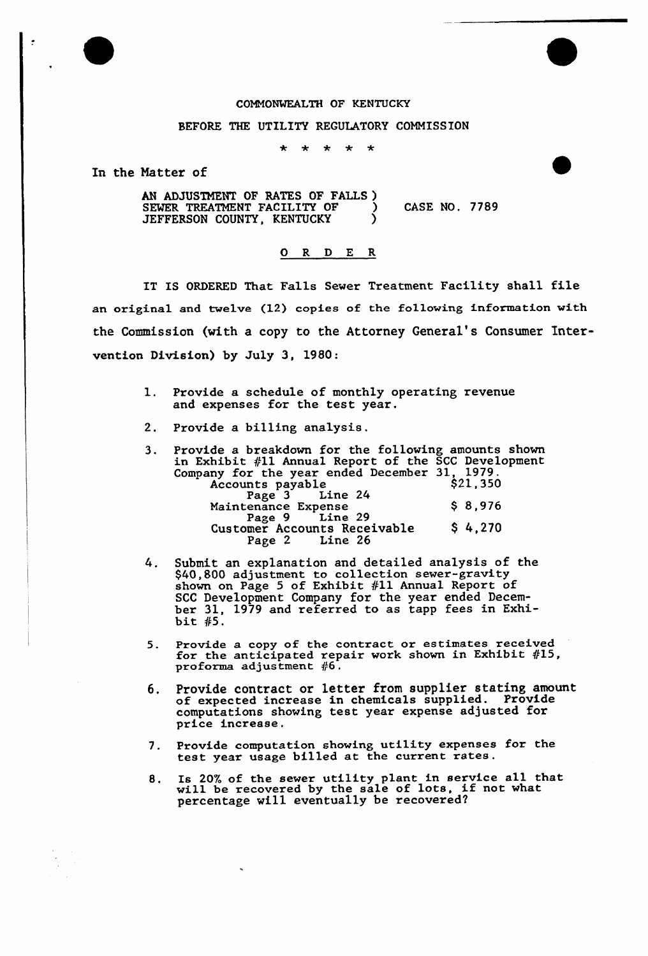## COMMONWEALTH OF KENTUCKY

## BEFORE THE UTILITY REGULATORY COMMISSION

 $\frac{1}{2}$  $\ddot{\phantom{a}}$  $\rightarrow$  $\div$ 

In the Matter of

AN ADJUSTMENT OF RATES OF FALLS ) SEWER TREATMENT FACILITY OF  $\qquad$  ) CASE NO. 7789<br>JEFFERSON COUNTY KENTUCKY JEFFERSON COUNTY, KENTUCKY

## 0 R <sup>D</sup> E R

IT IS ORDERED That Falls Sewer Treatment Facility shall file an original and twelve (12) copies of the following information with the Commission (with a copy to the Attorney General's Consumer Intervention Division) by July 3, 1980:

- 1. Provide a schedule of monthly operating revenue and expenses for the test year.
- 2. Provide a billing analysis.
- 3. Provide a breakdown for the following amounts shown in Exhibit #11 Annual Report of the SCC Development Company for the year ended December 31, 1979.  $\frac{252 \text{ cm}}{2}$  \$21,350 Accounts payable<br>Page 3 Line 24 Maintenance Expense \$8,976<br>Page 9 Line 29 Page 9 Customer Accounts Receivable \$ 4,270<br>Page 2 Line 26 Line 26
- 4. Submit an explanation and detailed analysis of the stom. The collection sewer-gravity<br>\$40,800 adjustment to collection sewer-gravity<br>shown on Page 5 of Exhibit #11 Annual Report of SCC Development Company for the year ended December 31, 1979 and referred to as tapp fees in Exhibit  $#5$ .
- 5. Provide a copy of the contract or estimates received for the anticipated repair work shown in Exhibit #15, proforma adjustment  $#6$ .
- 6. Provide contract or letter from supplier stating amount of expected increase in chemicals supplied. Provide computations showing test year expense adjusted for price increase.
- 7. Provide computation showing utility expenses for the test year usage billed at the current rates.
- 8. Is 20% of the sewer utility plant in service all that will be recovered by the sale of lots, if not what percentage will eventually be recovered?